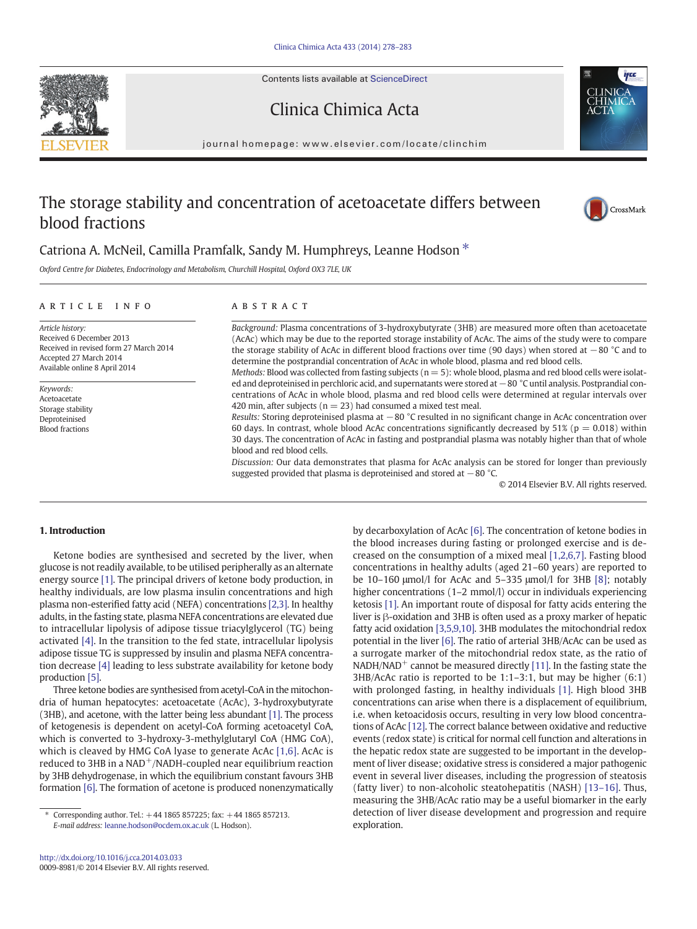Contents lists available at ScienceDirect





# Clinica Chimica Acta

journal homepage: www.elsevier.com/locate/clinchim

# The storage stability and concentration of acetoacetate differs between blood fractions



## Catriona A. McNeil, Camilla Pramfalk, Sandy M. Humphreys, Leanne Hodson  $*$

Oxford Centre for Diabetes, Endocrinology and Metabolism, Churchill Hospital, Oxford OX3 7LE, UK

#### article info abstract

Article history: Received 6 December 2013 Received in revised form 27 March 2014 Accepted 27 March 2014 Available online 8 April 2014

Keywords: Acetoacetate Storage stability Deproteinised Blood fractions

Background: Plasma concentrations of 3-hydroxybutyrate (3HB) are measured more often than acetoacetate (AcAc) which may be due to the reported storage instability of AcAc. The aims of the study were to compare the storage stability of AcAc in different blood fractions over time (90 days) when stored at −80 °C and to determine the postprandial concentration of AcAc in whole blood, plasma and red blood cells.

Methods: Blood was collected from fasting subjects ( $n = 5$ ): whole blood, plasma and red blood cells were isolated and deproteinised in perchloric acid, and supernatants were stored at −80 °C until analysis. Postprandial concentrations of AcAc in whole blood, plasma and red blood cells were determined at regular intervals over 420 min, after subjects ( $n = 23$ ) had consumed a mixed test meal.

Results: Storing deproteinised plasma at −80 °C resulted in no significant change in AcAc concentration over 60 days. In contrast, whole blood AcAc concentrations significantly decreased by 51% ( $p = 0.018$ ) within 30 days. The concentration of AcAc in fasting and postprandial plasma was notably higher than that of whole blood and red blood cells.

Discussion: Our data demonstrates that plasma for AcAc analysis can be stored for longer than previously suggested provided that plasma is deproteinised and stored at  $-80$  °C.

© 2014 Elsevier B.V. All rights reserved.

#### 1. Introduction

Ketone bodies are synthesised and secreted by the liver, when glucose is not readily available, to be utilised peripherally as an alternate energy source [\[1\].](#page-5-0) The principal drivers of ketone body production, in healthy individuals, are low plasma insulin concentrations and high plasma non-esterified fatty acid (NEFA) concentrations [\[2,3\]](#page-5-0). In healthy adults, in the fasting state, plasma NEFA concentrations are elevated due to intracellular lipolysis of adipose tissue triacylglycerol (TG) being activated [\[4\]](#page-5-0). In the transition to the fed state, intracellular lipolysis adipose tissue TG is suppressed by insulin and plasma NEFA concentration decrease [\[4\]](#page-5-0) leading to less substrate availability for ketone body production [\[5\].](#page-5-0)

Three ketone bodies are synthesised from acetyl-CoA in the mitochondria of human hepatocytes: acetoacetate (AcAc), 3-hydroxybutyrate (3HB), and acetone, with the latter being less abundant [\[1\].](#page-5-0) The process of ketogenesis is dependent on acetyl-CoA forming acetoacetyl CoA, which is converted to 3-hydroxy-3-methylglutaryl CoA (HMG CoA), which is cleaved by HMG CoA lyase to generate AcAc [\[1,6\].](#page-5-0) AcAc is reduced to 3HB in a NAD<sup>+</sup>/NADH-coupled near equilibrium reaction by 3HB dehydrogenase, in which the equilibrium constant favours 3HB formation [\[6\]](#page-5-0). The formation of acetone is produced nonenzymatically

by decarboxylation of AcAc [\[6\]](#page-5-0). The concentration of ketone bodies in the blood increases during fasting or prolonged exercise and is decreased on the consumption of a mixed meal [\[1,2,6,7\]](#page-5-0). Fasting blood concentrations in healthy adults (aged 21–60 years) are reported to be 10–160 μmol/l for AcAc and 5–335 μmol/l for 3HB [\[8\];](#page-5-0) notably higher concentrations (1-2 mmol/l) occur in individuals experiencing ketosis [\[1\]](#page-5-0). An important route of disposal for fatty acids entering the liver is β-oxidation and 3HB is often used as a proxy marker of hepatic fatty acid oxidation [\[3,5,9,10\].](#page-5-0) 3HB modulates the mitochondrial redox potential in the liver [\[6\].](#page-5-0) The ratio of arterial 3HB/AcAc can be used as a surrogate marker of the mitochondrial redox state, as the ratio of  $NADH/NAD<sup>+</sup>$  cannot be measured directly [\[11\].](#page-5-0) In the fasting state the 3HB/AcAc ratio is reported to be 1:1–3:1, but may be higher (6:1) with prolonged fasting, in healthy individuals [\[1\].](#page-5-0) High blood 3HB concentrations can arise when there is a displacement of equilibrium, i.e. when ketoacidosis occurs, resulting in very low blood concentrations of AcAc [\[12\]](#page-5-0). The correct balance between oxidative and reductive events (redox state) is critical for normal cell function and alterations in the hepatic redox state are suggested to be important in the development of liver disease; oxidative stress is considered a major pathogenic event in several liver diseases, including the progression of steatosis (fatty liver) to non-alcoholic steatohepatitis (NASH) [13–[16\].](#page-5-0) Thus, measuring the 3HB/AcAc ratio may be a useful biomarker in the early detection of liver disease development and progression and require exploration.

<sup>⁎</sup> Corresponding author. Tel.: +44 1865 857225; fax: +44 1865 857213. E-mail address: [leanne.hodson@ocdem.ox.ac.uk](mailto:leanne.hodson@ocdem.ox.ac.uk) (L. Hodson).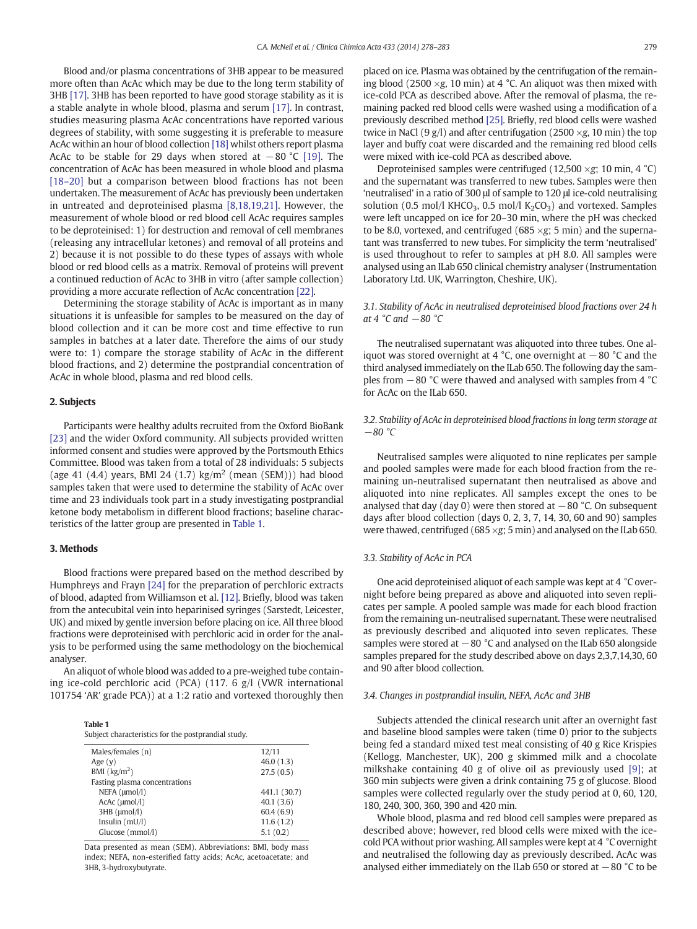Blood and/or plasma concentrations of 3HB appear to be measured more often than AcAc which may be due to the long term stability of 3HB [\[17\]](#page-5-0). 3HB has been reported to have good storage stability as it is a stable analyte in whole blood, plasma and serum [\[17\].](#page-5-0) In contrast, studies measuring plasma AcAc concentrations have reported various degrees of stability, with some suggesting it is preferable to measure AcAc within an hour of blood collection [\[18\]](#page-5-0) whilst others report plasma AcAc to be stable for 29 days when stored at  $-80$  °C [\[19\]](#page-5-0). The concentration of AcAc has been measured in whole blood and plasma [18–[20\]](#page-5-0) but a comparison between blood fractions has not been undertaken. The measurement of AcAc has previously been undertaken in untreated and deproteinised plasma [\[8,18,19,21\].](#page-5-0) However, the measurement of whole blood or red blood cell AcAc requires samples to be deproteinised: 1) for destruction and removal of cell membranes (releasing any intracellular ketones) and removal of all proteins and 2) because it is not possible to do these types of assays with whole blood or red blood cells as a matrix. Removal of proteins will prevent a continued reduction of AcAc to 3HB in vitro (after sample collection) providing a more accurate reflection of AcAc concentration [\[22\].](#page-5-0)

Determining the storage stability of AcAc is important as in many situations it is unfeasible for samples to be measured on the day of blood collection and it can be more cost and time effective to run samples in batches at a later date. Therefore the aims of our study were to: 1) compare the storage stability of AcAc in the different blood fractions, and 2) determine the postprandial concentration of AcAc in whole blood, plasma and red blood cells.

#### 2. Subjects

Participants were healthy adults recruited from the Oxford BioBank [\[23\]](#page-5-0) and the wider Oxford community. All subjects provided written informed consent and studies were approved by the Portsmouth Ethics Committee. Blood was taken from a total of 28 individuals: 5 subjects (age 41 (4.4) years, BMI 24 (1.7)  $\text{kg/m}^2$  (mean (SEM))) had blood samples taken that were used to determine the stability of AcAc over time and 23 individuals took part in a study investigating postprandial ketone body metabolism in different blood fractions; baseline characteristics of the latter group are presented in Table 1.

#### 3. Methods

Blood fractions were prepared based on the method described by Humphreys and Frayn [\[24\]](#page-5-0) for the preparation of perchloric extracts of blood, adapted from Williamson et al. [\[12\].](#page-5-0) Briefly, blood was taken from the antecubital vein into heparinised syringes (Sarstedt, Leicester, UK) and mixed by gentle inversion before placing on ice. All three blood fractions were deproteinised with perchloric acid in order for the analysis to be performed using the same methodology on the biochemical analyser.

An aliquot of whole blood was added to a pre-weighed tube containing ice-cold perchloric acid (PCA) (117. 6 g/l (VWR international 101754 'AR' grade PCA)) at a 1:2 ratio and vortexed thoroughly then

| Table 1                                             |
|-----------------------------------------------------|
| Subject characteristics for the postprandial study. |

| Males/females (n)                 | 12/11        |
|-----------------------------------|--------------|
| Age $(v)$                         | 46.0(1.3)    |
| BMI $\left(\frac{kg}{m^2}\right)$ | 27.5(0.5)    |
| Fasting plasma concentrations     |              |
| NEFA (umol/l)                     | 441.1 (30.7) |
| $AcAc$ ( $\mu$ mol/l)             | 40.1(3.6)    |
| $3HB \ (umol/l)$                  | 60.4(6.9)    |
| Insulin $(mU/l)$                  | 11.6(1.2)    |
| Glucose (mmol/l)                  | 5.1(0.2)     |
|                                   |              |

Data presented as mean (SEM). Abbreviations: BMI, body mass index; NEFA, non-esterified fatty acids; AcAc, acetoacetate; and 3HB, 3-hydroxybutyrate.

placed on ice. Plasma was obtained by the centrifugation of the remaining blood (2500  $\times$ g, 10 min) at 4 °C. An aliquot was then mixed with ice-cold PCA as described above. After the removal of plasma, the remaining packed red blood cells were washed using a modification of a previously described method [\[25\].](#page-5-0) Briefly, red blood cells were washed twice in NaCl (9 g/l) and after centrifugation (2500  $\times$ g, 10 min) the top layer and buffy coat were discarded and the remaining red blood cells were mixed with ice-cold PCA as described above.

Deproteinised samples were centrifuged (12,500  $\times$ g; 10 min, 4 °C) and the supernatant was transferred to new tubes. Samples were then 'neutralised' in a ratio of 300 μl of sample to 120 μl ice-cold neutralising solution (0.5 mol/l KHCO<sub>3</sub>, 0.5 mol/l K<sub>2</sub>CO<sub>3</sub>) and vortexed. Samples were left uncapped on ice for 20–30 min, where the pH was checked to be 8.0, vortexed, and centrifuged (685  $\times$ g; 5 min) and the supernatant was transferred to new tubes. For simplicity the term 'neutralised' is used throughout to refer to samples at pH 8.0. All samples were analysed using an ILab 650 clinical chemistry analyser (Instrumentation Laboratory Ltd. UK, Warrington, Cheshire, UK).

#### 3.1. Stability of AcAc in neutralised deproteinised blood fractions over 24 h at 4 °C and  $-80$  °C

The neutralised supernatant was aliquoted into three tubes. One aliquot was stored overnight at 4 °C, one overnight at −80 °C and the third analysed immediately on the ILab 650. The following day the samples from −80 °C were thawed and analysed with samples from 4 °C for AcAc on the ILab 650.

#### 3.2. Stability of AcAc in deproteinised blood fractions in long term storage at  $-80$  °C

Neutralised samples were aliquoted to nine replicates per sample and pooled samples were made for each blood fraction from the remaining un-neutralised supernatant then neutralised as above and aliquoted into nine replicates. All samples except the ones to be analysed that day (day 0) were then stored at  $-80$  °C. On subsequent days after blood collection (days 0, 2, 3, 7, 14, 30, 60 and 90) samples were thawed, centrifuged (685  $\times$ g; 5 min) and analysed on the ILab 650.

### 3.3. Stability of AcAc in PCA

One acid deproteinised aliquot of each sample was kept at 4 °C overnight before being prepared as above and aliquoted into seven replicates per sample. A pooled sample was made for each blood fraction from the remaining un-neutralised supernatant. These were neutralised as previously described and aliquoted into seven replicates. These samples were stored at −80 °C and analysed on the ILab 650 alongside samples prepared for the study described above on days 2,3,7,14,30, 60 and 90 after blood collection.

#### 3.4. Changes in postprandial insulin, NEFA, AcAc and 3HB

Subjects attended the clinical research unit after an overnight fast and baseline blood samples were taken (time 0) prior to the subjects being fed a standard mixed test meal consisting of 40 g Rice Krispies (Kellogg, Manchester, UK), 200 g skimmed milk and a chocolate milkshake containing 40 g of olive oil as previously used [\[9\];](#page-5-0) at 360 min subjects were given a drink containing 75 g of glucose. Blood samples were collected regularly over the study period at 0, 60, 120, 180, 240, 300, 360, 390 and 420 min.

Whole blood, plasma and red blood cell samples were prepared as described above; however, red blood cells were mixed with the icecold PCA without prior washing. All samples were kept at 4 °C overnight and neutralised the following day as previously described. AcAc was analysed either immediately on the ILab 650 or stored at −80 °C to be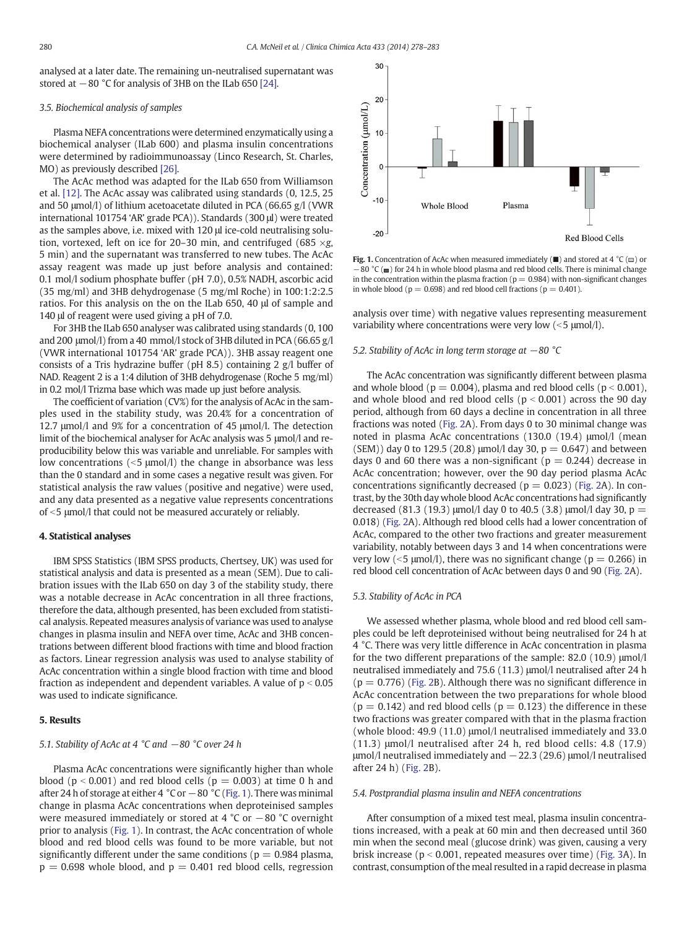analysed at a later date. The remaining un-neutralised supernatant was stored at −80 °C for analysis of 3HB on the ILab 650 [\[24\].](#page-5-0)

#### 3.5. Biochemical analysis of samples

Plasma NEFA concentrations were determined enzymatically using a biochemical analyser (ILab 600) and plasma insulin concentrations were determined by radioimmunoassay (Linco Research, St. Charles, MO) as previously described [\[26\]](#page-5-0).

The AcAc method was adapted for the ILab 650 from Williamson et al. [\[12\]](#page-5-0). The AcAc assay was calibrated using standards (0, 12.5, 25 and 50 μmol/l) of lithium acetoacetate diluted in PCA (66.65 g/l (VWR international 101754 'AR' grade PCA)). Standards (300 μl) were treated as the samples above, i.e. mixed with 120 μl ice-cold neutralising solution, vortexed, left on ice for 20–30 min, and centrifuged (685  $\times$ g, 5 min) and the supernatant was transferred to new tubes. The AcAc assay reagent was made up just before analysis and contained: 0.1 mol/l sodium phosphate buffer (pH 7.0), 0.5% NADH, ascorbic acid (35 mg/ml) and 3HB dehydrogenase (5 mg/ml Roche) in 100:1:2:2.5 ratios. For this analysis on the on the ILab 650, 40 μl of sample and 140 μl of reagent were used giving a pH of 7.0.

For 3HB the ILab 650 analyser was calibrated using standards (0, 100 and 200 μmol/l) from a 40 mmol/l stock of 3HB diluted in PCA (66.65 g/l (VWR international 101754 'AR' grade PCA)). 3HB assay reagent one consists of a Tris hydrazine buffer (pH 8.5) containing 2 g/l buffer of NAD. Reagent 2 is a 1:4 dilution of 3HB dehydrogenase (Roche 5 mg/ml) in 0.2 mol/l Trizma base which was made up just before analysis.

The coefficient of variation (CV%) for the analysis of AcAc in the samples used in the stability study, was 20.4% for a concentration of 12.7 μmol/l and 9% for a concentration of 45 μmol/l. The detection limit of the biochemical analyser for AcAc analysis was 5 μmol/l and reproducibility below this was variable and unreliable. For samples with low concentrations ( $5 \mu$ mol/l) the change in absorbance was less than the 0 standard and in some cases a negative result was given. For statistical analysis the raw values (positive and negative) were used, and any data presented as a negative value represents concentrations of <5  $\mu$ mol/l that could not be measured accurately or reliably.

#### 4. Statistical analyses

IBM SPSS Statistics (IBM SPSS products, Chertsey, UK) was used for statistical analysis and data is presented as a mean (SEM). Due to calibration issues with the ILab 650 on day 3 of the stability study, there was a notable decrease in AcAc concentration in all three fractions, therefore the data, although presented, has been excluded from statistical analysis. Repeated measures analysis of variance was used to analyse changes in plasma insulin and NEFA over time, AcAc and 3HB concentrations between different blood fractions with time and blood fraction as factors. Linear regression analysis was used to analyse stability of AcAc concentration within a single blood fraction with time and blood fraction as independent and dependent variables. A value of  $p < 0.05$ was used to indicate significance.

#### 5. Results

#### 5.1. Stability of AcAc at 4 °C and −80 °C over 24 h

Plasma AcAc concentrations were significantly higher than whole blood ( $p < 0.001$ ) and red blood cells ( $p = 0.003$ ) at time 0 h and after 24 h of storage at either 4  $^{\circ}$ C or  $-$  80  $^{\circ}$ C (Fig. 1). There was minimal change in plasma AcAc concentrations when deproteinised samples were measured immediately or stored at 4 °C or −80 °C overnight prior to analysis (Fig. 1). In contrast, the AcAc concentration of whole blood and red blood cells was found to be more variable, but not significantly different under the same conditions ( $p = 0.984$  plasma,  $p = 0.698$  whole blood, and  $p = 0.401$  red blood cells, regression



**Fig. 1.** Concentration of AcAc when measured immediately ( $\blacksquare$ ) and stored at 4 °C ( $\blacksquare$ ) or −80 °C (■) for 24 h in whole blood plasma and red blood cells. There is minimal change in the concentration within the plasma fraction ( $p = 0.984$ ) with non-significant changes in whole blood ( $p = 0.698$ ) and red blood cell fractions ( $p = 0.401$ ).

analysis over time) with negative values representing measurement variability where concentrations were very low  $(<5 \mu$ mol/l).

#### 5.2. Stability of AcAc in long term storage at −80 °C

The AcAc concentration was significantly different between plasma and whole blood ( $p = 0.004$ ), plasma and red blood cells ( $p < 0.001$ ), and whole blood and red blood cells  $(p < 0.001)$  across the 90 day period, although from 60 days a decline in concentration in all three fractions was noted ([Fig. 2A](#page-3-0)). From days 0 to 30 minimal change was noted in plasma AcAc concentrations (130.0 (19.4) μmol/l (mean  $(SEM)$ ) day 0 to 129.5 (20.8)  $\mu$ mol/l day 30, p = 0.647) and between days 0 and 60 there was a non-significant ( $p = 0.244$ ) decrease in AcAc concentration; however, over the 90 day period plasma AcAc concentrations significantly decreased ( $p = 0.023$ ) ([Fig. 2](#page-3-0)A). In contrast, by the 30th day whole blood AcAc concentrations had significantly decreased (81.3 (19.3)  $\mu$ mol/l day 0 to 40.5 (3.8)  $\mu$ mol/l day 30, p = 0.018) [\(Fig. 2A](#page-3-0)). Although red blood cells had a lower concentration of AcAc, compared to the other two fractions and greater measurement variability, notably between days 3 and 14 when concentrations were very low ( $\leq$ 5 μmol/l), there was no significant change ( $p = 0.266$ ) in red blood cell concentration of AcAc between days 0 and 90 ([Fig. 2](#page-3-0)A).

#### 5.3. Stability of AcAc in PCA

We assessed whether plasma, whole blood and red blood cell samples could be left deproteinised without being neutralised for 24 h at 4 °C. There was very little difference in AcAc concentration in plasma for the two different preparations of the sample: 82.0 (10.9) μmol/l neutralised immediately and 75.6 (11.3) μmol/l neutralised after 24 h  $(p = 0.776)$  ([Fig. 2B](#page-3-0)). Although there was no significant difference in AcAc concentration between the two preparations for whole blood  $(p = 0.142)$  and red blood cells  $(p = 0.123)$  the difference in these two fractions was greater compared with that in the plasma fraction (whole blood: 49.9 (11.0) μmol/l neutralised immediately and 33.0 (11.3) μmol/l neutralised after 24 h, red blood cells: 4.8 (17.9) μmol/l neutralised immediately and −22.3 (29.6) μmol/l neutralised after 24 h) ([Fig. 2](#page-3-0)B).

#### 5.4. Postprandial plasma insulin and NEFA concentrations

After consumption of a mixed test meal, plasma insulin concentrations increased, with a peak at 60 min and then decreased until 360 min when the second meal (glucose drink) was given, causing a very brisk increase ( $p < 0.001$ , repeated measures over time) [\(Fig. 3A](#page-4-0)). In contrast, consumption of the meal resulted in a rapid decrease in plasma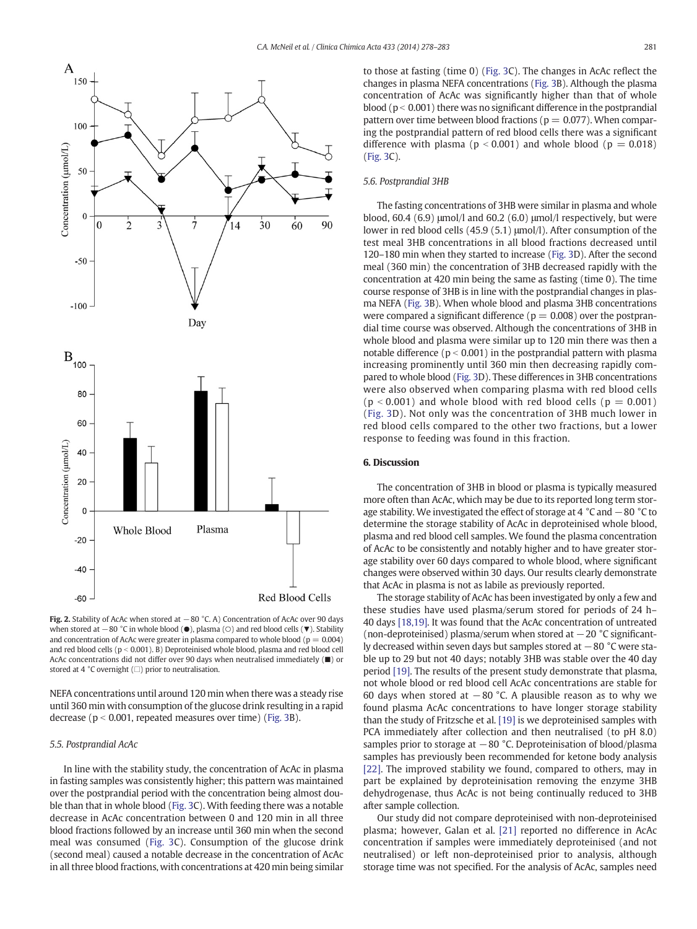<span id="page-3-0"></span>

Fig. 2. Stability of AcAc when stored at −80 °C. A) Concentration of AcAc over 90 days when stored at −80 °C in whole blood (●), plasma (○) and red blood cells (▼). Stability and concentration of AcAc were greater in plasma compared to whole blood ( $p = 0.004$ ) and red blood cells ( $p < 0.001$ ). B) Deproteinised whole blood, plasma and red blood cell AcAc concentrations did not differ over 90 days when neutralised immediately (■) or stored at 4  $^{\circ}$ C overnight ( $\Box$ ) prior to neutralisation.

NEFA concentrations until around 120 min when there was a steady rise until 360 min with consumption of the glucose drink resulting in a rapid decrease ( $p < 0.001$ , repeated measures over time) ([Fig. 3](#page-4-0)B).

#### 5.5. Postprandial AcAc

In line with the stability study, the concentration of AcAc in plasma in fasting samples was consistently higher; this pattern was maintained over the postprandial period with the concentration being almost double than that in whole blood [\(Fig. 3](#page-4-0)C). With feeding there was a notable decrease in AcAc concentration between 0 and 120 min in all three blood fractions followed by an increase until 360 min when the second meal was consumed ([Fig. 3C](#page-4-0)). Consumption of the glucose drink (second meal) caused a notable decrease in the concentration of AcAc in all three blood fractions, with concentrations at 420 min being similar to those at fasting (time 0) [\(Fig. 3C](#page-4-0)). The changes in AcAc reflect the changes in plasma NEFA concentrations [\(Fig. 3B](#page-4-0)). Although the plasma concentration of AcAc was significantly higher than that of whole blood ( $p < 0.001$ ) there was no significant difference in the postprandial pattern over time between blood fractions ( $p = 0.077$ ). When comparing the postprandial pattern of red blood cells there was a significant difference with plasma ( $p < 0.001$ ) and whole blood ( $p = 0.018$ ) [\(Fig. 3C](#page-4-0)).

#### 5.6. Postprandial 3HB

The fasting concentrations of 3HB were similar in plasma and whole blood, 60.4 (6.9)  $\mu$ mol/l and 60.2 (6.0)  $\mu$ mol/l respectively, but were lower in red blood cells (45.9 (5.1) μmol/l). After consumption of the test meal 3HB concentrations in all blood fractions decreased until 120–180 min when they started to increase ([Fig. 3](#page-4-0)D). After the second meal (360 min) the concentration of 3HB decreased rapidly with the concentration at 420 min being the same as fasting (time 0). The time course response of 3HB is in line with the postprandial changes in plasma NEFA [\(Fig. 3](#page-4-0)B). When whole blood and plasma 3HB concentrations were compared a significant difference ( $p = 0.008$ ) over the postprandial time course was observed. Although the concentrations of 3HB in whole blood and plasma were similar up to 120 min there was then a notable difference ( $p < 0.001$ ) in the postprandial pattern with plasma increasing prominently until 360 min then decreasing rapidly compared to whole blood ([Fig. 3D](#page-4-0)). These differences in 3HB concentrations were also observed when comparing plasma with red blood cells  $(p < 0.001)$  and whole blood with red blood cells  $(p = 0.001)$ [\(Fig. 3](#page-4-0)D). Not only was the concentration of 3HB much lower in red blood cells compared to the other two fractions, but a lower response to feeding was found in this fraction.

#### 6. Discussion

The concentration of 3HB in blood or plasma is typically measured more often than AcAc, which may be due to its reported long term storage stability. We investigated the effect of storage at 4 °C and −80 °C to determine the storage stability of AcAc in deproteinised whole blood, plasma and red blood cell samples. We found the plasma concentration of AcAc to be consistently and notably higher and to have greater storage stability over 60 days compared to whole blood, where significant changes were observed within 30 days. Our results clearly demonstrate that AcAc in plasma is not as labile as previously reported.

The storage stability of AcAc has been investigated by only a few and these studies have used plasma/serum stored for periods of 24 h– 40 days [\[18,19\]](#page-5-0). It was found that the AcAc concentration of untreated (non-deproteinised) plasma/serum when stored at −20 °C significantly decreased within seven days but samples stored at −80 °C were stable up to 29 but not 40 days; notably 3HB was stable over the 40 day period [\[19\]](#page-5-0). The results of the present study demonstrate that plasma, not whole blood or red blood cell AcAc concentrations are stable for 60 days when stored at  $-80$  °C. A plausible reason as to why we found plasma AcAc concentrations to have longer storage stability than the study of Fritzsche et al. [\[19\]](#page-5-0) is we deproteinised samples with PCA immediately after collection and then neutralised (to pH 8.0) samples prior to storage at −80 °C. Deproteinisation of blood/plasma samples has previously been recommended for ketone body analysis [\[22\]](#page-5-0). The improved stability we found, compared to others, may in part be explained by deproteinisation removing the enzyme 3HB dehydrogenase, thus AcAc is not being continually reduced to 3HB after sample collection.

Our study did not compare deproteinised with non-deproteinised plasma; however, Galan et al. [\[21\]](#page-5-0) reported no difference in AcAc concentration if samples were immediately deproteinised (and not neutralised) or left non-deproteinised prior to analysis, although storage time was not specified. For the analysis of AcAc, samples need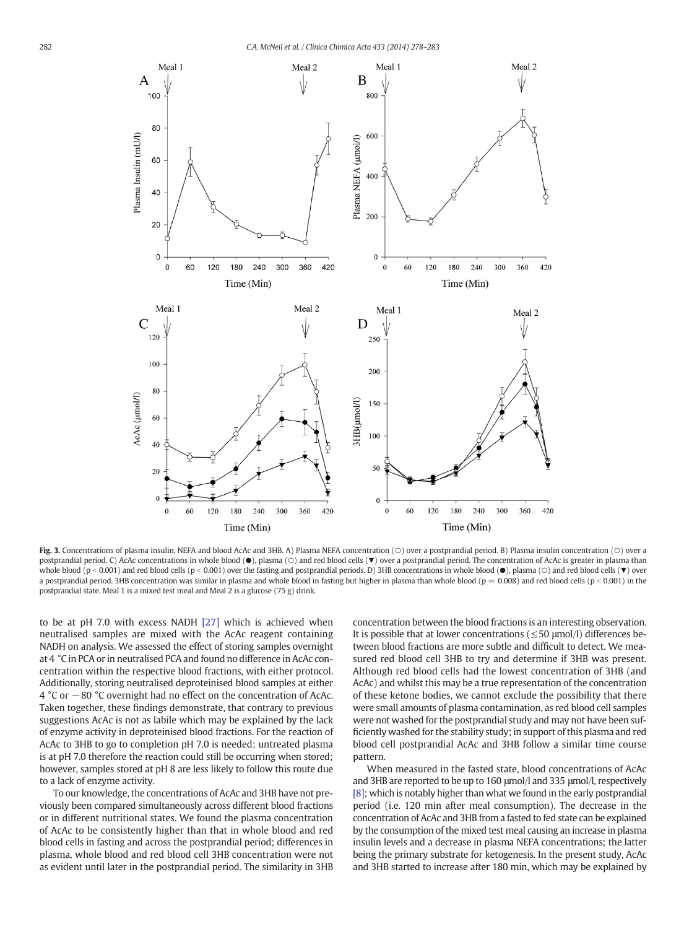<span id="page-4-0"></span>

Fig. 3. Concentrations of plasma insulin, NEFA and blood AcAc and 3HB. A) Plasma NEFA concentration (○) over a postprandial period. B) Plasma insulin concentration (○) over a postprandial period. C) AcAc concentrations in whole blood (●), plasma (○) and red blood cells (▼) over a postprandial period. The concentration of AcAc is greater in plasma than whole blood (p < 0.001) and red blood cells (p < 0.001) over the fasting and postprandial periods. D) 3HB concentrations in whole blood ( $\bullet$ ), plasma ( $\circ$ ) and red blood cells ( $\nabla$ ) over a postprandial period. 3HB concentration was similar in plasma and whole blood in fasting but higher in plasma than whole blood ( $p = 0.008$ ) and red blood cells ( $p < 0.001$ ) in the postprandial state. Meal 1 is a mixed test meal and Meal 2 is a glucose (75 g) drink.

to be at pH 7.0 with excess NADH [\[27\]](#page-5-0) which is achieved when neutralised samples are mixed with the AcAc reagent containing NADH on analysis. We assessed the effect of storing samples overnight at 4 °C in PCA or in neutralised PCA and found no difference in AcAc concentration within the respective blood fractions, with either protocol. Additionally, storing neutralised deproteinised blood samples at either 4 °C or −80 °C overnight had no effect on the concentration of AcAc. Taken together, these findings demonstrate, that contrary to previous suggestions AcAc is not as labile which may be explained by the lack of enzyme activity in deproteinised blood fractions. For the reaction of AcAc to 3HB to go to completion pH 7.0 is needed; untreated plasma is at pH 7.0 therefore the reaction could still be occurring when stored; however, samples stored at pH 8 are less likely to follow this route due to a lack of enzyme activity.

To our knowledge, the concentrations of AcAc and 3HB have not previously been compared simultaneously across different blood fractions or in different nutritional states. We found the plasma concentration of AcAc to be consistently higher than that in whole blood and red blood cells in fasting and across the postprandial period; differences in plasma, whole blood and red blood cell 3HB concentration were not as evident until later in the postprandial period. The similarity in 3HB concentration between the blood fractions is an interesting observation. It is possible that at lower concentrations ( $\leq$ 50  $\mu$ mol/l) differences between blood fractions are more subtle and difficult to detect. We measured red blood cell 3HB to try and determine if 3HB was present. Although red blood cells had the lowest concentration of 3HB (and AcAc) and whilst this may be a true representation of the concentration of these ketone bodies, we cannot exclude the possibility that there were small amounts of plasma contamination, as red blood cell samples were not washed for the postprandial study and may not have been sufficiently washed for the stability study; in support of this plasma and red blood cell postprandial AcAc and 3HB follow a similar time course pattern.

When measured in the fasted state, blood concentrations of AcAc and 3HB are reported to be up to 160 μmol/l and 335 μmol/l, respectively [\[8\]](#page-5-0); which is notably higher than what we found in the early postprandial period (i.e. 120 min after meal consumption). The decrease in the concentration of AcAc and 3HB from a fasted to fed state can be explained by the consumption of the mixed test meal causing an increase in plasma insulin levels and a decrease in plasma NEFA concentrations; the latter being the primary substrate for ketogenesis. In the present study, AcAc and 3HB started to increase after 180 min, which may be explained by